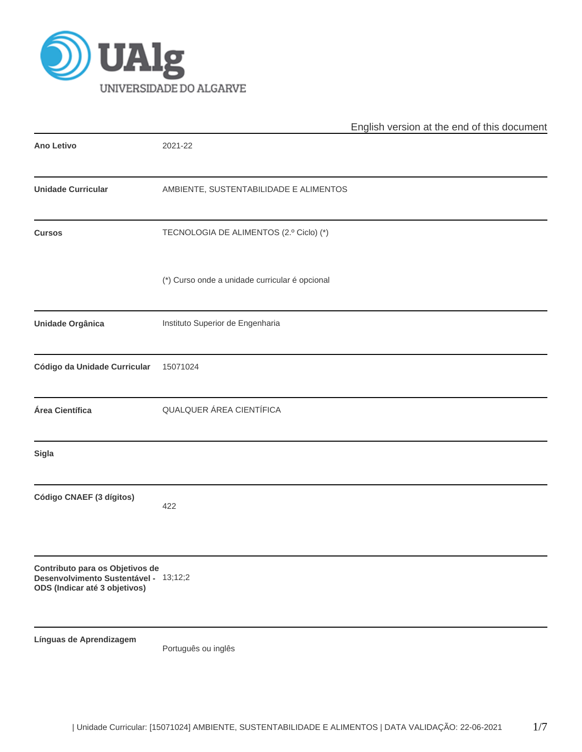

|                                                                                                           |                                                | English version at the end of this document |
|-----------------------------------------------------------------------------------------------------------|------------------------------------------------|---------------------------------------------|
| <b>Ano Letivo</b>                                                                                         | 2021-22                                        |                                             |
| <b>Unidade Curricular</b>                                                                                 | AMBIENTE, SUSTENTABILIDADE E ALIMENTOS         |                                             |
| <b>Cursos</b>                                                                                             | TECNOLOGIA DE ALIMENTOS (2.º Ciclo) (*)        |                                             |
|                                                                                                           | (*) Curso onde a unidade curricular é opcional |                                             |
| Unidade Orgânica                                                                                          | Instituto Superior de Engenharia               |                                             |
| Código da Unidade Curricular                                                                              | 15071024                                       |                                             |
| Área Científica                                                                                           | QUALQUER ÁREA CIENTÍFICA                       |                                             |
| <b>Sigla</b>                                                                                              |                                                |                                             |
| Código CNAEF (3 dígitos)                                                                                  | 422                                            |                                             |
| Contributo para os Objetivos de<br>Desenvolvimento Sustentável - 13;12;2<br>ODS (Indicar até 3 objetivos) |                                                |                                             |
| Línguas de Aprendizagem                                                                                   | Português ou inglês                            |                                             |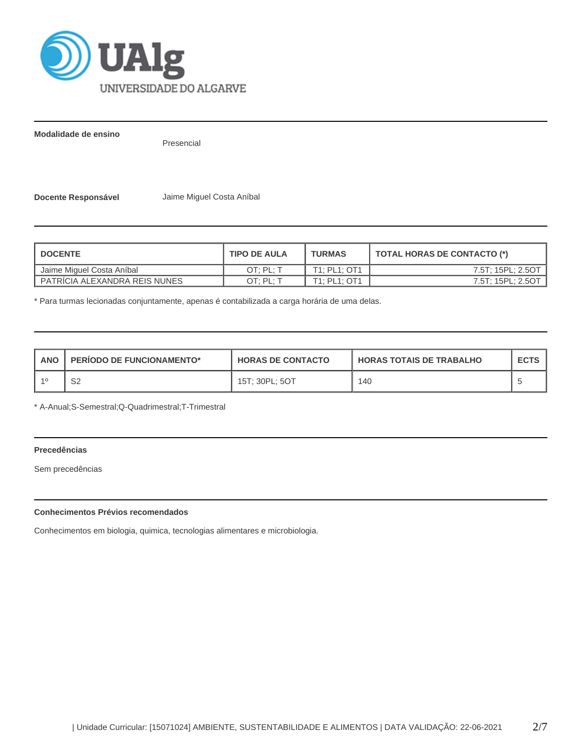

**Modalidade de ensino**

Presencial

**Docente Responsável** Jaime Miguel Costa Aníbal

| <b>DOCENTE</b>                  | <b>TIPO DE AULA</b> | <b>TURMAS</b> | TOTAL HORAS DE CONTACTO (*) |
|---------------------------------|---------------------|---------------|-----------------------------|
| Jaime Miguel Costa Aníbal       | OT: PL: T           | T1: PL1: OT1  | 7.5T; 15PL; 2.5OT           |
| I PATRICIA ALEXANDRA REIS NUNES | OT: PL: T           | T1: PL1: OT1  | 7.5T: 15PL: 2.5OT           |

\* Para turmas lecionadas conjuntamente, apenas é contabilizada a carga horária de uma delas.

| <b>ANO</b> | <b>PERIODO DE FUNCIONAMENTO*</b> | <b>HORAS DE CONTACTO</b> | I HORAS TOTAIS DE TRABALHO | <b>ECTS</b> |  |
|------------|----------------------------------|--------------------------|----------------------------|-------------|--|
|            | ⌒∩<br>ےت                         | 15T: 30PL: 5OT           | 140                        |             |  |

\* A-Anual;S-Semestral;Q-Quadrimestral;T-Trimestral

# **Precedências**

Sem precedências

# **Conhecimentos Prévios recomendados**

Conhecimentos em biologia, quimica, tecnologias alimentares e microbiologia.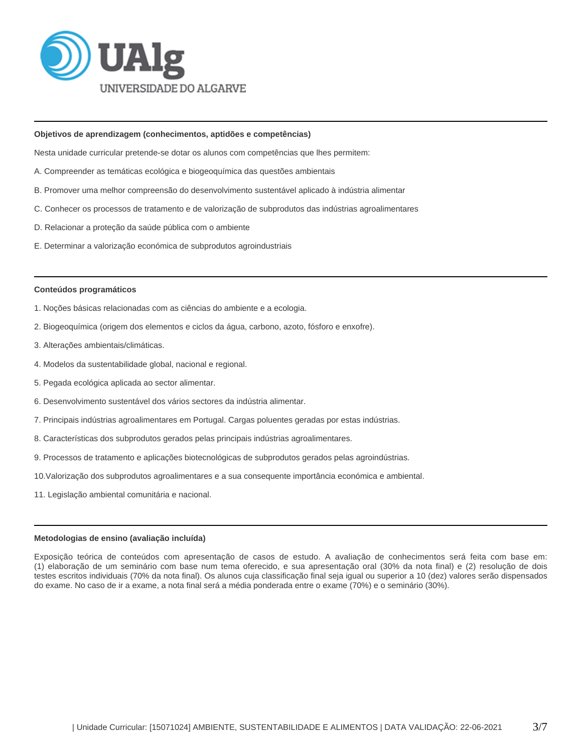

#### **Objetivos de aprendizagem (conhecimentos, aptidões e competências)**

Nesta unidade curricular pretende-se dotar os alunos com competências que lhes permitem:

- A. Compreender as temáticas ecológica e biogeoquímica das questões ambientais
- B. Promover uma melhor compreensão do desenvolvimento sustentável aplicado à indústria alimentar
- C. Conhecer os processos de tratamento e de valorização de subprodutos das indústrias agroalimentares
- D. Relacionar a proteção da saúde pública com o ambiente
- E. Determinar a valorização económica de subprodutos agroindustriais

#### **Conteúdos programáticos**

- 1. Noções básicas relacionadas com as ciências do ambiente e a ecologia.
- 2. Biogeoquímica (origem dos elementos e ciclos da água, carbono, azoto, fósforo e enxofre).
- 3. Alterações ambientais/climáticas.
- 4. Modelos da sustentabilidade global, nacional e regional.
- 5. Pegada ecológica aplicada ao sector alimentar.
- 6. Desenvolvimento sustentável dos vários sectores da indústria alimentar.
- 7. Principais indústrias agroalimentares em Portugal. Cargas poluentes geradas por estas indústrias.
- 8. Características dos subprodutos gerados pelas principais indústrias agroalimentares.
- 9. Processos de tratamento e aplicações biotecnológicas de subprodutos gerados pelas agroindústrias.
- 10.Valorização dos subprodutos agroalimentares e a sua consequente importância económica e ambiental.
- 11. Legislação ambiental comunitária e nacional.

#### **Metodologias de ensino (avaliação incluída)**

Exposição teórica de conteúdos com apresentação de casos de estudo. A avaliação de conhecimentos será feita com base em: (1) elaboração de um seminário com base num tema oferecido, e sua apresentação oral (30% da nota final) e (2) resolução de dois testes escritos individuais (70% da nota final). Os alunos cuja classificação final seja igual ou superior a 10 (dez) valores serão dispensados do exame. No caso de ir a exame, a nota final será a média ponderada entre o exame (70%) e o seminário (30%).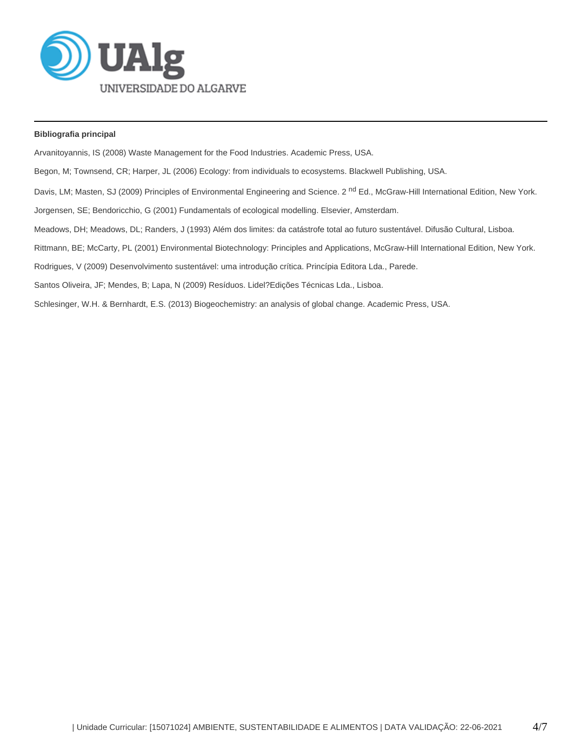

# **Bibliografia principal**

Arvanitoyannis, IS (2008) Waste Management for the Food Industries. Academic Press, USA.

Begon, M; Townsend, CR; Harper, JL (2006) Ecology: from individuals to ecosystems. Blackwell Publishing, USA.

Davis, LM; Masten, SJ (2009) Principles of Environmental Engineering and Science. 2<sup>nd</sup> Ed., McGraw-Hill International Edition, New York.

Jorgensen, SE; Bendoricchio, G (2001) Fundamentals of ecological modelling. Elsevier, Amsterdam.

Meadows, DH; Meadows, DL; Randers, J (1993) Além dos limites: da catástrofe total ao futuro sustentável. Difusão Cultural, Lisboa.

Rittmann, BE; McCarty, PL (2001) Environmental Biotechnology: Principles and Applications, McGraw-Hill International Edition, New York.

Rodrigues, V (2009) Desenvolvimento sustentável: uma introdução crítica. Princípia Editora Lda., Parede.

Santos Oliveira, JF; Mendes, B; Lapa, N (2009) Resíduos. Lidel?Edições Técnicas Lda., Lisboa.

Schlesinger, W.H. & Bernhardt, E.S. (2013) Biogeochemistry: an analysis of global change. Academic Press, USA.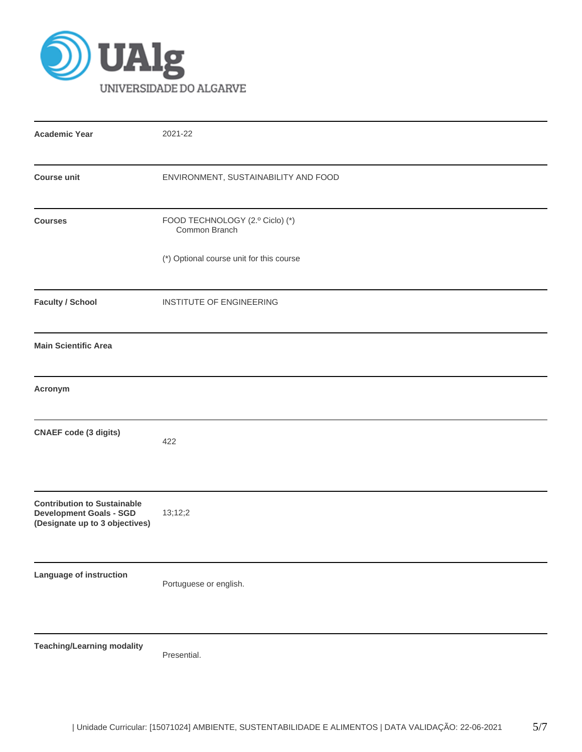

| <b>Academic Year</b>                                                                                   | 2021-22                                          |  |  |  |  |  |
|--------------------------------------------------------------------------------------------------------|--------------------------------------------------|--|--|--|--|--|
| <b>Course unit</b>                                                                                     | ENVIRONMENT, SUSTAINABILITY AND FOOD             |  |  |  |  |  |
| <b>Courses</b>                                                                                         | FOOD TECHNOLOGY (2.º Ciclo) (*)<br>Common Branch |  |  |  |  |  |
|                                                                                                        | (*) Optional course unit for this course         |  |  |  |  |  |
| <b>Faculty / School</b>                                                                                | INSTITUTE OF ENGINEERING                         |  |  |  |  |  |
| <b>Main Scientific Area</b>                                                                            |                                                  |  |  |  |  |  |
| Acronym                                                                                                |                                                  |  |  |  |  |  |
| <b>CNAEF code (3 digits)</b>                                                                           | 422                                              |  |  |  |  |  |
| <b>Contribution to Sustainable</b><br><b>Development Goals - SGD</b><br>(Designate up to 3 objectives) | 13;12;2                                          |  |  |  |  |  |
| Language of instruction                                                                                | Portuguese or english.                           |  |  |  |  |  |
| <b>Teaching/Learning modality</b>                                                                      | Presential.                                      |  |  |  |  |  |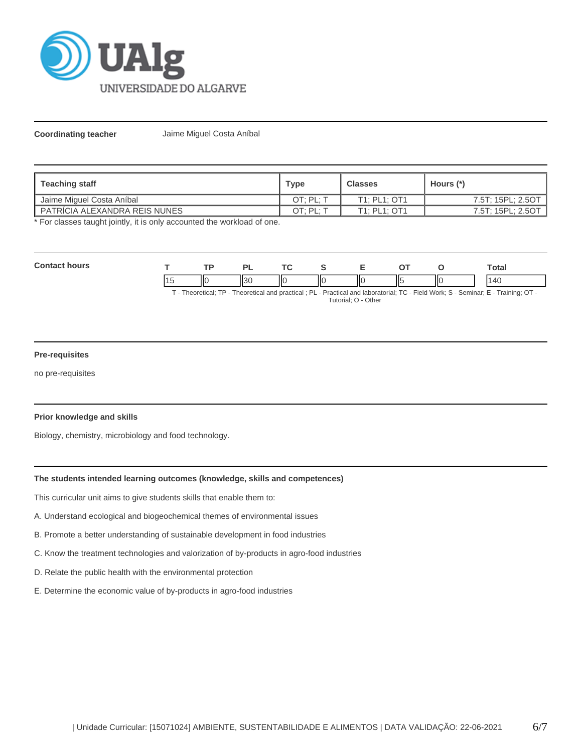

**Coordinating teacher** Jaime Miguel Costa Aníbal

| ∣ Teaching staff                | Type                 | <b>Classes</b> | Hours (*)         |
|---------------------------------|----------------------|----------------|-------------------|
| Jaime Miguel Costa Aníbal       | OT: PL:              | T1: PL1: OT1   | 7.5T; 15PL; 2.5OT |
| I PATRICIA ALEXANDRA REIS NUNES | OT: PL: <sup>-</sup> | T1; PL1; OT1   | 7.5T; 15PL; 2.5OT |

\* For classes taught jointly, it is only accounted the workload of one.

| Con<br>hours |     | ים                |    |                 | - |    |     | <b>otal</b> |
|--------------|-----|-------------------|----|-----------------|---|----|-----|-------------|
|              | IІC | $\sqrt{2}$<br>пэс | IК | $\mathsf{II}$ c |   | Ш٤ | IІC |             |

T - Theoretical; TP - Theoretical and practical ; PL - Practical and laboratorial; TC - Field Work; S - Seminar; E - Training; OT - Tutorial; O - Other

## **Pre-requisites**

no pre-requisites

### **Prior knowledge and skills**

Biology, chemistry, microbiology and food technology.

## **The students intended learning outcomes (knowledge, skills and competences)**

This curricular unit aims to give students skills that enable them to:

- A. Understand ecological and biogeochemical themes of environmental issues
- B. Promote a better understanding of sustainable development in food industries
- C. Know the treatment technologies and valorization of by-products in agro-food industries
- D. Relate the public health with the environmental protection
- E. Determine the economic value of by-products in agro-food industries